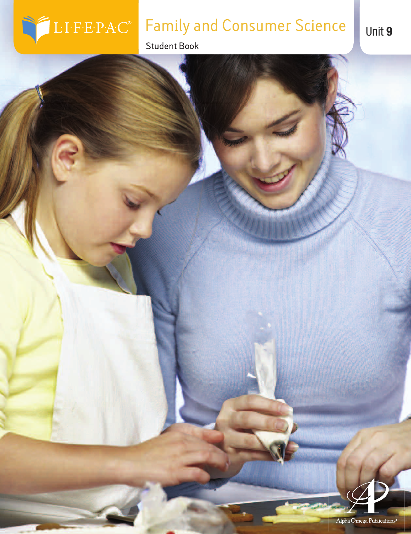# $LIF\cdot F\cdot P\cdot AC^*$ Family and Consumer Science Unit 9

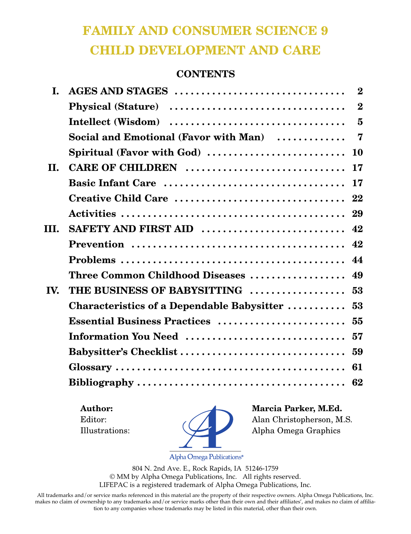# **FAMILY AND CONSUMER SCIENCE 9 CHILD DEVELOPMENT AND CARE**

## **CONTENTS**

| L.   | AGES AND STAGES                            | $\overline{\mathbf{2}}$ |
|------|--------------------------------------------|-------------------------|
|      | Physical (Stature)                         | $\overline{2}$          |
|      | Intellect (Wisdom)                         | $\overline{5}$          |
|      | Social and Emotional (Favor with Man)      | 7                       |
|      | Spiritual (Favor with God)                 | 10                      |
| H.   | CARE OF CHILDREN                           | 17                      |
|      |                                            | 17                      |
|      | Creative Child Care                        | 22                      |
|      |                                            | 29                      |
| III. | SAFETY AND FIRST AID                       | 42                      |
|      |                                            | 42                      |
|      |                                            | 44                      |
|      | Three Common Childhood Diseases            | 49                      |
| IV.  | THE BUSINESS OF BABYSITTING  53            |                         |
|      | Characteristics of a Dependable Babysitter | 53                      |
|      | <b>Essential Business Practices </b>       | 55                      |
|      | Information You Need                       | 57                      |
|      | Babysitter's Checklist                     | 59                      |
|      |                                            | 61                      |
|      |                                            |                         |



### **Author: Marcia Parker, M.Ed.** Editor: Alan Christopherson, M.S.

Illustrations: Alpha Omega Graphics

804 N. 2nd Ave. E., Rock Rapids, IA 51246-1759 © MM by Alpha Omega Publications, Inc. All rights reserved. LIFEPAC is a registered trademark of Alpha Omega Publications, Inc.

All trademarks and/or service marks referenced in this material are the property of their respective owners. Alpha Omega Publications, Inc. makes no claim of ownership to any trademarks and/or service marks other than their own and their affiliates', and makes no claim of affiliation to any companies whose trademarks may be listed in this material, other than their own.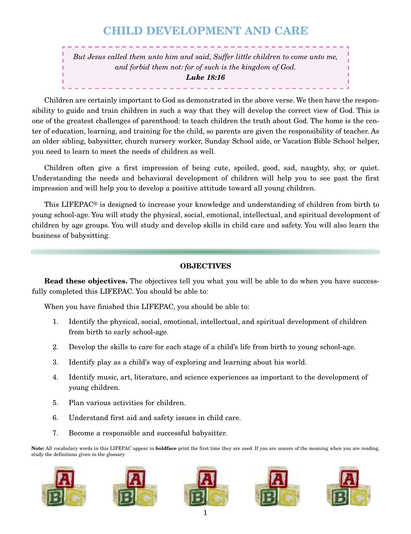# **CHILD DEVELOPMENT AND CARE**

---------------------------------

---------------------------------

*But Jesus called them unto him and said, Suffer little children to come unto me, and forbid them not: for of such is the kingdom of God. Luke 18:16*

Children are certainly important to God as demonstrated in the above verse. We then have the responsibility to guide and train children in such a way that they will develop the correct view of God. This is one of the greatest challenges of parenthood: to teach children the truth about God. The home is the center of education, learning, and training for the child, so parents are given the responsibility of teacher. As an older sibling, babysitter, church nursery worker, Sunday School aide, or Vacation Bible School helper, you need to learn to meet the needs of children as well.

Children often give a first impression of being cute, spoiled, good, sad, naughty, shy, or quiet. Understanding the needs and behavioral development of children will help you to see past the first impression and will help you to develop a positive attitude toward all young children.

This LIFEPAC® is designed to increase your knowledge and understanding of children from birth to young school-age. You will study the physical, social, emotional, intellectual, and spiritual development of children by age groups. You will study and develop skills in child care and safety. You will also learn the business of babysitting.

#### **OBJECTIVES**

**Read these objectives.** The objectives tell you what you will be able to do when you have successfully completed this LIFEPAC. You should be able to:

When you have finished this LIFEPAC, you should be able to:

- 1. Identify the physical, social, emotional, intellectual, and spiritual development of children from birth to early school-age.
- 2. Develop the skills to care for each stage of a child's life from birth to young school-age.
- 3. Identify play as a child's way of exploring and learning about his world.
- 4. Identify music, art, literature, and science experiences as important to the development of young children.
- 5. Plan various activities for children.
- 6. Understand first aid and safety issues in child care.
- 7. Become a responsible and successful babysitter.

**Note:** All vocabulary words in this LIFEPAC appear in **boldface** print the first time they are used. If you are unsure of the meaning when you are reading, study the definitions given in the glossary.









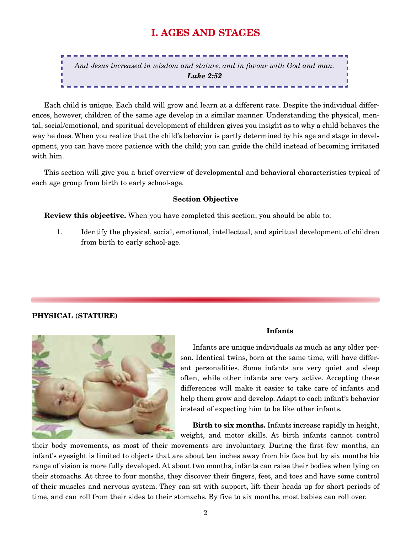### **I. AGES AND STAGES**

| And Jesus increased in wisdom and stature, and in favour with God and man. |  |
|----------------------------------------------------------------------------|--|
|                                                                            |  |
| <b>Luke 2:52</b>                                                           |  |
|                                                                            |  |
|                                                                            |  |

Each child is unique. Each child will grow and learn at a different rate. Despite the individual differences, however, children of the same age develop in a similar manner. Understanding the physical, mental, social/emotional, and spiritual development of children gives you insight as to why a child behaves the way he does. When you realize that the child's behavior is partly determined by his age and stage in development, you can have more patience with the child; you can guide the child instead of becoming irritated with him.

This section will give you a brief overview of developmental and behavioral characteristics typical of each age group from birth to early school-age.

#### **Section Objective**

**Review this objective.** When you have completed this section, you should be able to:

1. Identify the physical, social, emotional, intellectual, and spiritual development of children from birth to early school-age.

#### **PHYSICAL (STATURE)**



#### **Infants**

Infants are unique individuals as much as any older person. Identical twins, born at the same time, will have different personalities. Some infants are very quiet and sleep often, while other infants are very active. Accepting these differences will make it easier to take care of infants and help them grow and develop. Adapt to each infant's behavior instead of expecting him to be like other infants.

**Birth to six months.** Infants increase rapidly in height, weight, and motor skills. At birth infants cannot control

their body movements, as most of their movements are involuntary. During the first few months, an infant's eyesight is limited to objects that are about ten inches away from his face but by six months his range of vision is more fully developed. At about two months, infants can raise their bodies when lying on their stomachs. At three to four months, they discover their fingers, feet, and toes and have some control of their muscles and nervous system. They can sit with support, lift their heads up for short periods of time, and can roll from their sides to their stomachs. By five to six months, most babies can roll over.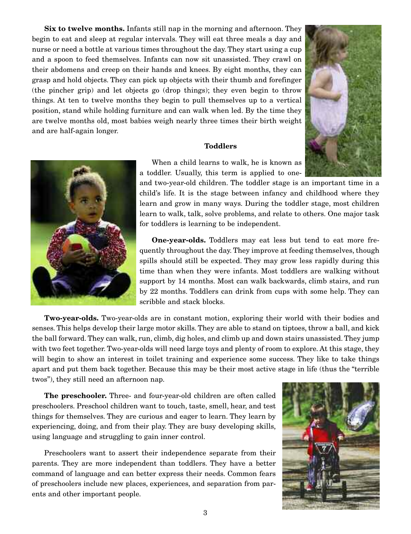**Six to twelve months.** Infants still nap in the morning and afternoon. They begin to eat and sleep at regular intervals. They will eat three meals a day and nurse or need a bottle at various times throughout the day. They start using a cup and a spoon to feed themselves. Infants can now sit unassisted. They crawl on their abdomens and creep on their hands and knees. By eight months, they can grasp and hold objects. They can pick up objects with their thumb and forefinger (the pincher grip) and let objects go (drop things); they even begin to throw things. At ten to twelve months they begin to pull themselves up to a vertical position, stand while holding furniture and can walk when led. By the time they are twelve months old, most babies weigh nearly three times their birth weight and are half-again longer.



When a child learns to walk, he is known as a toddler. Usually, this term is applied to one-

**Toddlers**

and two-year-old children. The toddler stage is an important time in a child's life. It is the stage between infancy and childhood where they learn and grow in many ways. During the toddler stage, most children learn to walk, talk, solve problems, and relate to others. One major task for toddlers is learning to be independent.

**One-year-olds.** Toddlers may eat less but tend to eat more frequently throughout the day. They improve at feeding themselves, though spills should still be expected. They may grow less rapidly during this time than when they were infants. Most toddlers are walking without support by 14 months. Most can walk backwards, climb stairs, and run by 22 months. Toddlers can drink from cups with some help. They can scribble and stack blocks.

**Two-year-olds.** Two-year-olds are in constant motion, exploring their world with their bodies and senses. This helps develop their large motor skills. They are able to stand on tiptoes, throw a ball, and kick the ball forward. They can walk, run, climb, dig holes, and climb up and down stairs unassisted. They jump with two feet together. Two-year-olds will need large toys and plenty of room to explore. At this stage, they will begin to show an interest in toilet training and experience some success. They like to take things apart and put them back together. Because this may be their most active stage in life (thus the "terrible twos"), they still need an afternoon nap.

**The preschooler.** Three- and four-year-old children are often called preschoolers. Preschool children want to touch, taste, smell, hear, and test things for themselves. They are curious and eager to learn. They learn by experiencing, doing, and from their play. They are busy developing skills, using language and struggling to gain inner control.

Preschoolers want to assert their independence separate from their parents. They are more independent than toddlers. They have a better command of language and can better express their needs. Common fears of preschoolers include new places, experiences, and separation from parents and other important people.

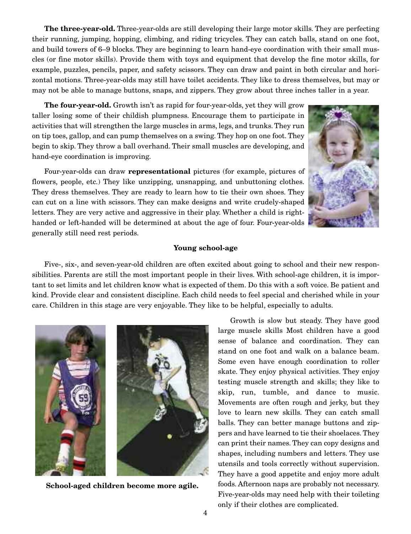**The three-year-old.** Three-year-olds are still developing their large motor skills. They are perfecting their running, jumping, hopping, climbing, and riding tricycles. They can catch balls, stand on one foot, and build towers of 6–9 blocks. They are beginning to learn hand-eye coordination with their small muscles (or fine motor skills). Provide them with toys and equipment that develop the fine motor skills, for example, puzzles, pencils, paper, and safety scissors. They can draw and paint in both circular and horizontal motions. Three-year-olds may still have toilet accidents. They like to dress themselves, but may or may not be able to manage buttons, snaps, and zippers. They grow about three inches taller in a year.

**The four-year-old.** Growth isn't as rapid for four-year-olds, yet they will grow taller losing some of their childish plumpness. Encourage them to participate in activities that will strengthen the large muscles in arms, legs, and trunks.They run on tip toes, gallop, and can pump themselves on a swing. They hop on one foot. They begin to skip. They throw a ball overhand. Their small muscles are developing, and hand-eye coordination is improving.

Four-year-olds can draw **representational** pictures (for example, pictures of flowers, people, etc.) They like unzipping, unsnapping, and unbuttoning clothes. They dress themselves. They are ready to learn how to tie their own shoes. They can cut on a line with scissors. They can make designs and write crudely-shaped letters. They are very active and aggressive in their play. Whether a child is righthanded or left-handed will be determined at about the age of four. Four-year-olds generally still need rest periods.



#### **Young school-age**

Five-, six-, and seven-year-old children are often excited about going to school and their new responsibilities. Parents are still the most important people in their lives. With school-age children, it is important to set limits and let children know what is expected of them. Do this with a soft voice. Be patient and kind. Provide clear and consistent discipline. Each child needs to feel special and cherished while in your care. Children in this stage are very enjoyable. They like to be helpful, especially to adults.



**School-aged children become more agile.**

Growth is slow but steady. They have good large muscle skills Most children have a good sense of balance and coordination. They can stand on one foot and walk on a balance beam. Some even have enough coordination to roller skate. They enjoy physical activities. They enjoy testing muscle strength and skills; they like to skip, run, tumble, and dance to music. Movements are often rough and jerky, but they love to learn new skills. They can catch small balls. They can better manage buttons and zippers and have learned to tie their shoelaces. They can print their names. They can copy designs and shapes, including numbers and letters. They use utensils and tools correctly without supervision. They have a good appetite and enjoy more adult foods. Afternoon naps are probably not necessary. Five-year-olds may need help with their toileting only if their clothes are complicated.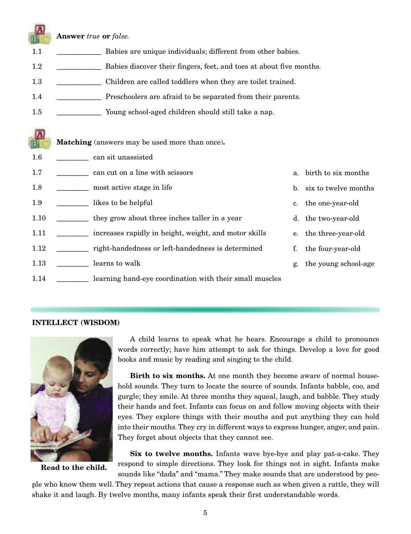雇

**Answer** *true* **or** *false.*

| $1.1\,$ |  |  | Babies are unique individuals; different from other babies. |  |
|---------|--|--|-------------------------------------------------------------|--|
|         |  |  |                                                             |  |

- 1.2 \_\_\_\_\_\_\_\_\_\_\_\_\_\_\_\_\_\_ Babies discover their fingers, feet, and toes at about five months.
- 1.3 **EXECUTE:** Children are called toddlers when they are toilet trained.
- 1.4 **Example 3** Preschoolers are afraid to be separated from their parents.
- 1.5 \_\_\_\_\_\_\_\_\_\_\_\_\_\_ Young school-aged children should still take a nap.

| 1.6  | can sit unassisted                                      |             |                         |
|------|---------------------------------------------------------|-------------|-------------------------|
| 1.7  | can cut on a line with scissors                         |             | a. birth to six months  |
| 1.8  | most active stage in life                               |             | b. six to twelve months |
| 1.9  | likes to be helpful                                     | $c_{\cdot}$ | the one-year-old        |
| 1.10 | they grow about three inches taller in a year           |             | d. the two-year-old     |
| 1.11 | increases rapidly in height, weight, and motor skills   |             | e. the three-year-old   |
| 1.12 | right-handedness or left-handedness is determined       | f.          | the four-year-old       |
| 1.13 | learns to walk                                          | g.          | the young school-age    |
| 1.14 | learning hand-eye coordination with their small muscles |             |                         |
|      |                                                         |             |                         |

#### **INTELLECT (WISDOM)**



**Read to the child.**

A child learns to speak what he hears. Encourage a child to pronounce words correctly; have him attempt to ask for things. Develop a love for good books and music by reading and singing to the child.

**Birth to six months.** At one month they become aware of normal household sounds. They turn to locate the source of sounds. Infants babble, coo, and gurgle; they smile. At three months they squeal, laugh, and babble. They study their hands and feet. Infants can focus on and follow moving objects with their eyes. They explore things with their mouths and put anything they can hold into their mouths. They cry in different ways to express hunger, anger, and pain. They forget about objects that they cannot see.

**Six to twelve months.** Infants wave bye-bye and play pat-a-cake. They respond to simple directions. They look for things not in sight. Infants make sounds like "dada" and "mama." They make sounds that are understood by peo-

ple who know them well. They repeat actions that cause a response such as when given a rattle, they will shake it and laugh. By twelve months, many infants speak their first understandable words.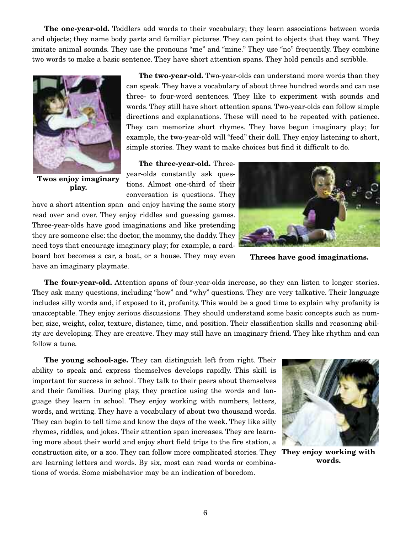**The one-year-old.** Toddlers add words to their vocabulary; they learn associations between words and objects; they name body parts and familiar pictures. They can point to objects that they want. They imitate animal sounds. They use the pronouns "me" and "mine." They use "no" frequently. They combine two words to make a basic sentence. They have short attention spans. They hold pencils and scribble.



**Twos enjoy imaginary play.**

**The two-year-old.** Two-year-olds can understand more words than they can speak. They have a vocabulary of about three hundred words and can use three- to four-word sentences. They like to experiment with sounds and words. They still have short attention spans. Two-year-olds can follow simple directions and explanations. These will need to be repeated with patience. They can memorize short rhymes. They have begun imaginary play; for example, the two-year-old will "feed" their doll. They enjoy listening to short, simple stories. They want to make choices but find it difficult to do.

**The three-year-old.** Threeyear-olds constantly ask questions. Almost one-third of their conversation is questions. They

have a short attention span and enjoy having the same story read over and over. They enjoy riddles and guessing games. Three-year-olds have good imaginations and like pretending they are someone else: the doctor, the mommy, the daddy.They need toys that encourage imaginary play; for example, a cardboard box becomes a car, a boat, or a house. They may even have an imaginary playmate.



**Threes have good imaginations.**

**The four-year-old.** Attention spans of four-year-olds increase, so they can listen to longer stories. They ask many questions, including "how" and "why" questions. They are very talkative. Their language includes silly words and, if exposed to it, profanity. This would be a good time to explain why profanity is unacceptable. They enjoy serious discussions. They should understand some basic concepts such as number, size, weight, color, texture, distance, time, and position. Their classification skills and reasoning ability are developing. They are creative. They may still have an imaginary friend. They like rhythm and can follow a tune.

**The young school-age.** They can distinguish left from right. Their ability to speak and express themselves develops rapidly. This skill is important for success in school. They talk to their peers about themselves and their families. During play, they practice using the words and language they learn in school. They enjoy working with numbers, letters, words, and writing. They have a vocabulary of about two thousand words. They can begin to tell time and know the days of the week. They like silly rhymes, riddles, and jokes. Their attention span increases. They are learning more about their world and enjoy short field trips to the fire station, a construction site, or a zoo. They can follow more complicated stories. They are learning letters and words. By six, most can read words or combinations of words. Some misbehavior may be an indication of boredom.



**They enjoy working with words.**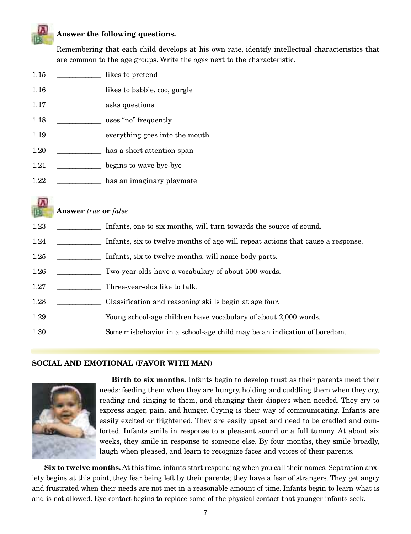

#### **Answer the following questions.**

Remembering that each child develops at his own rate, identify intellectual characteristics that are common to the age groups. Write the *ages* next to the characteristic.

- 1.15 \_\_\_\_\_\_\_\_\_\_\_\_\_\_ likes to pretend 1.16 **likes to babble, coo, gurgle** 1.17 \_\_\_\_\_\_\_\_\_\_\_\_\_\_\_\_\_\_\_ asks questions
- 1.18 \_\_\_\_\_\_\_\_\_\_\_\_\_\_\_\_\_\_\_ uses "no" frequently
- 1.19 **\_\_\_\_\_\_\_\_\_** everything goes into the mouth
- 1.20 \_\_\_\_\_\_\_\_\_\_\_\_\_\_ has a short attention span
- 1.21 \_\_\_\_\_\_\_\_\_\_\_\_\_\_\_\_\_\_ begins to wave bve-bve
- 1.22 \_\_\_\_\_\_\_\_\_\_\_\_\_\_ has an imaginary playmate

**Answer** *true* **or** *false.*

1.23 **Infants, one to six months, will turn towards the source of sound.** 

- 1.24 \_\_\_\_\_\_\_\_\_\_\_\_\_\_\_ Infants, six to twelve months of age will repeat actions that cause a response.
- 1.25 Infants, six to twelve months, will name body parts.
- 1.26 Two-year-olds have a vocabulary of about 500 words.
- 1.27 \_\_\_\_\_\_\_\_\_\_\_\_\_\_\_\_\_\_\_\_ Three-year-olds like to talk.
- 1.28 Classification and reasoning skills begin at age four.
- 1.29 **1.29** Young school-age children have vocabulary of about 2,000 words.
- 1.30 Some misbehavior in a school-age child may be an indication of boredom.

#### **SOCIAL AND EMOTIONAL (FAVOR WITH MAN)**



**Birth to six months.** Infants begin to develop trust as their parents meet their needs: feeding them when they are hungry, holding and cuddling them when they cry, reading and singing to them, and changing their diapers when needed. They cry to express anger, pain, and hunger. Crying is their way of communicating. Infants are easily excited or frightened. They are easily upset and need to be cradled and comforted. Infants smile in response to a pleasant sound or a full tummy. At about six weeks, they smile in response to someone else. By four months, they smile broadly, laugh when pleased, and learn to recognize faces and voices of their parents.

**Six to twelve months.** At this time, infants start responding when you call their names. Separation anxiety begins at this point, they fear being left by their parents; they have a fear of strangers. They get angry and frustrated when their needs are not met in a reasonable amount of time. Infants begin to learn what is and is not allowed. Eye contact begins to replace some of the physical contact that younger infants seek.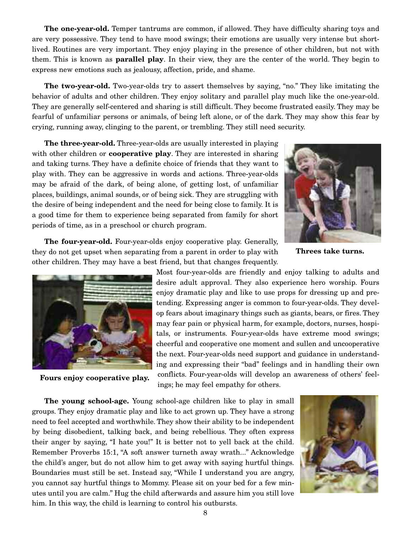**The one-year-old.** Temper tantrums are common, if allowed. They have difficulty sharing toys and are very possessive. They tend to have mood swings; their emotions are usually very intense but shortlived. Routines are very important. They enjoy playing in the presence of other children, but not with them. This is known as **parallel play**. In their view, they are the center of the world. They begin to express new emotions such as jealousy, affection, pride, and shame.

**The two-year-old.** Two-year-olds try to assert themselves by saying, "no." They like imitating the behavior of adults and other children. They enjoy solitary and parallel play much like the one-year-old. They are generally self-centered and sharing is still difficult. They become frustrated easily. They may be fearful of unfamiliar persons or animals, of being left alone, or of the dark. They may show this fear by crying, running away, clinging to the parent, or trembling. They still need security.

**The three-year-old.** Three-year-olds are usually interested in playing with other children or **cooperative play**. They are interested in sharing and taking turns. They have a definite choice of friends that they want to play with. They can be aggressive in words and actions. Three-year-olds may be afraid of the dark, of being alone, of getting lost, of unfamiliar places, buildings, animal sounds, or of being sick. They are struggling with the desire of being independent and the need for being close to family. It is a good time for them to experience being separated from family for short periods of time, as in a preschool or church program.



**Threes take turns.**

**The four-year-old.** Four-year-olds enjoy cooperative play. Generally, they do not get upset when separating from a parent in order to play with other children. They may have a best friend, but that changes frequently.



**Fours enjoy cooperative play.**

Most four-year-olds are friendly and enjoy talking to adults and desire adult approval. They also experience hero worship. Fours enjoy dramatic play and like to use props for dressing up and pretending. Expressing anger is common to four-year-olds. They develop fears about imaginary things such as giants, bears, or fires. They may fear pain or physical harm, for example, doctors, nurses, hospitals, or instruments. Four-year-olds have extreme mood swings; cheerful and cooperative one moment and sullen and uncooperative the next. Four-year-olds need support and guidance in understanding and expressing their "bad" feelings and in handling their own conflicts. Four-year-olds will develop an awareness of others' feelings; he may feel empathy for others.

**The young school-age.** Young school-age children like to play in small groups. They enjoy dramatic play and like to act grown up. They have a strong need to feel accepted and worthwhile. They show their ability to be independent by being disobedient, talking back, and being rebellious. They often express their anger by saying, "I hate you!" It is better not to yell back at the child. Remember Proverbs 15:1, "A soft answer turneth away wrath..." Acknowledge the child's anger, but do not allow him to get away with saying hurtful things. Boundaries must still be set. Instead say, "While I understand you are angry, you cannot say hurtful things to Mommy. Please sit on your bed for a few minutes until you are calm." Hug the child afterwards and assure him you still love him. In this way, the child is learning to control his outbursts.

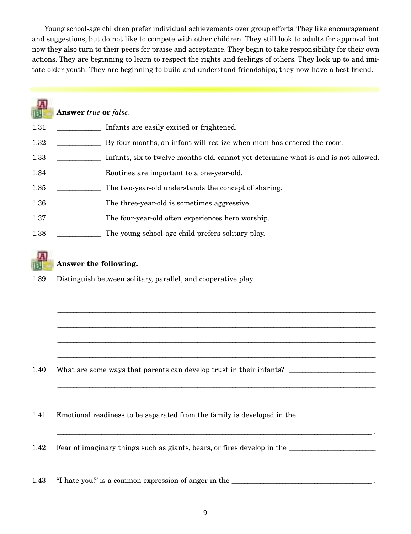Young school-age children prefer individual achievements over group efforts. They like encouragement and suggestions, but do not like to compete with other children. They still look to adults for approval but now they also turn to their peers for praise and acceptance. They begin to take responsibility for their own actions. They are beginning to learn to respect the rights and feelings of others. They look up to and imitate older youth. They are beginning to build and understand friendships; they now have a best friend.

|      | Answer true or false.                                                                                |
|------|------------------------------------------------------------------------------------------------------|
| 1.31 | Infants are easily excited or frightened.                                                            |
| 1.32 | By four months, an infant will realize when mom has entered the room.                                |
| 1.33 | Infants, six to twelve months old, cannot yet determine what is and is not allowed.                  |
| 1.34 | Routines are important to a one-year-old.<br>$\overline{\phantom{a}}$                                |
| 1.35 | The two-year-old understands the concept of sharing.                                                 |
| 1.36 | The three-year-old is sometimes aggressive.<br><u> Alban Maria (</u>                                 |
| 1.37 | The four-year-old often experiences hero worship.<br>$\frac{1}{2}$                                   |
| 1.38 | The young school-age child prefers solitary play.                                                    |
| 1.39 | Answer the following.                                                                                |
|      |                                                                                                      |
| 1.40 |                                                                                                      |
| 1.41 | Emotional readiness to be separated from the family is developed in the ____________________________ |
| 1.42 | Fear of imaginary things such as giants, bears, or fires develop in the ____________________________ |
| 1.43 | "I hate you!" is a common expression of anger in the                                                 |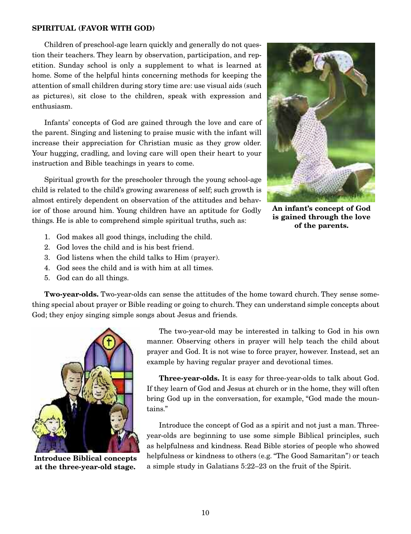#### **SPIRITUAL (FAVOR WITH GOD)**

Children of preschool-age learn quickly and generally do not question their teachers. They learn by observation, participation, and repetition. Sunday school is only a supplement to what is learned at home. Some of the helpful hints concerning methods for keeping the attention of small children during story time are: use visual aids (such as pictures), sit close to the children, speak with expression and enthusiasm.

Infants' concepts of God are gained through the love and care of the parent. Singing and listening to praise music with the infant will increase their appreciation for Christian music as they grow older. Your hugging, cradling, and loving care will open their heart to your instruction and Bible teachings in years to come.

Spiritual growth for the preschooler through the young school-age child is related to the child's growing awareness of self; such growth is almost entirely dependent on observation of the attitudes and behavior of those around him. Young children have an aptitude for Godly things. He is able to comprehend simple spiritual truths, such as:

- 1. God makes all good things, including the child.
- 2. God loves the child and is his best friend.
- 3. God listens when the child talks to Him (prayer).
- 4. God sees the child and is with him at all times.
- 5. God can do all things.

**Two-year-olds.** Two-year-olds can sense the attitudes of the home toward church. They sense something special about prayer or Bible reading or going to church. They can understand simple concepts about God; they enjoy singing simple songs about Jesus and friends.



**Introduce Biblical concepts at the three-year-old stage.**

The two-year-old may be interested in talking to God in his own manner. Observing others in prayer will help teach the child about prayer and God. It is not wise to force prayer, however. Instead, set an example by having regular prayer and devotional times.

**Three-year-olds.** It is easy for three-year-olds to talk about God. If they learn of God and Jesus at church or in the home, they will often bring God up in the conversation, for example, "God made the mountains."

Introduce the concept of God as a spirit and not just a man. Threeyear-olds are beginning to use some simple Biblical principles, such as helpfulness and kindness. Read Bible stories of people who showed helpfulness or kindness to others (e.g. "The Good Samaritan") or teach a simple study in Galatians 5:22–23 on the fruit of the Spirit.



**An infant's concept of God is gained through the love of the parents.**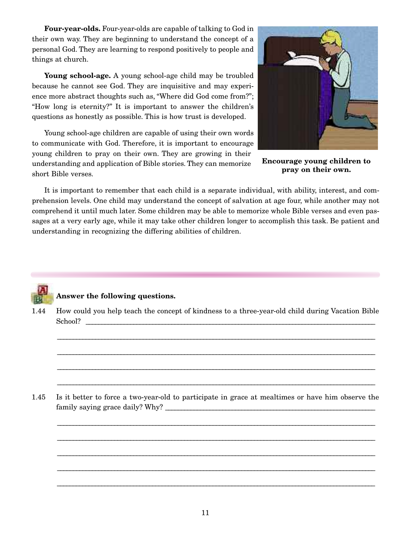**Four-year-olds.** Four-year-olds are capable of talking to God in their own way. They are beginning to understand the concept of a personal God. They are learning to respond positively to people and things at church.

**Young school-age.** A young school-age child may be troubled because he cannot see God. They are inquisitive and may experience more abstract thoughts such as, "Where did God come from?"; "How long is eternity?" It is important to answer the children's questions as honestly as possible. This is how trust is developed.

Young school-age children are capable of using their own words to communicate with God. Therefore, it is important to encourage young children to pray on their own. They are growing in their understanding and application of Bible stories. They can memorize short Bible verses.



**Encourage young children to pray on their own.**

It is important to remember that each child is a separate individual, with ability, interest, and comprehension levels. One child may understand the concept of salvation at age four, while another may not comprehend it until much later. Some children may be able to memorize whole Bible verses and even passages at a very early age, while it may take other children longer to accomplish this task. Be patient and understanding in recognizing the differing abilities of children.

#### **Answer the following questions.**

1.44 How could you help teach the concept of kindness to a three-year-old child during Vacation Bible  $\rm School?$ 

1.45 Is it better to force a two-year-old to participate in grace at mealtimes or have him observe the family saying grace daily? Why?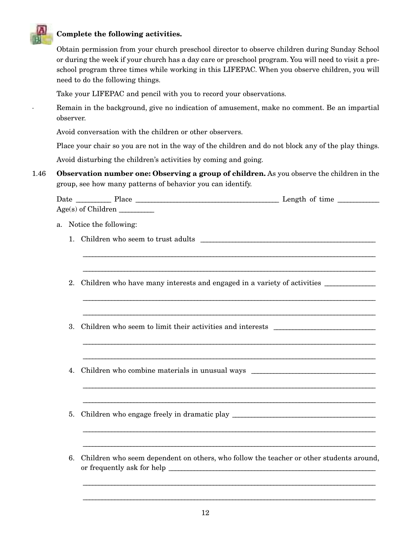

#### **Complete the following activities.**

Obtain permission from your church preschool director to observe children during Sunday School or during the week if your church has a day care or preschool program. You will need to visit a preschool program three times while working in this LIFEPAC. When you observe children, you will need to do the following things.

Take your LIFEPAC and pencil with you to record your observations.

Remain in the background, give no indication of amusement, make no comment. Be an impartial observer.

Avoid conversation with the children or other observers.

Place your chair so you are not in the way of the children and do not block any of the play things.

Avoid disturbing the children's activities by coming and going.

1.46 **Observation number one: Observing a group of children.** As you observe the children in the group, see how many patterns of behavior you can identify.

Date \_\_\_\_\_\_\_\_\_\_\_ Place \_\_\_\_\_\_\_\_\_\_\_\_\_\_\_\_\_\_\_\_\_\_\_\_\_\_\_\_\_\_\_\_\_\_\_\_\_\_\_\_\_\_\_\_\_ Length of time \_\_\_\_\_\_\_\_\_\_\_\_\_  $Age(s)$  of Children a. Notice the following: 1. Children who seem to trust adults 2. Children who have many interests and engaged in a variety of activities \_\_\_\_\_\_\_\_\_\_\_\_ 3. Children who seem to limit their activities and interests

4. Children who combine materials in unusual ways \_\_\_\_\_\_\_\_\_\_\_\_\_\_\_\_\_\_\_\_\_\_\_\_\_\_\_\_\_\_

- 5. Children who engage freely in dramatic play \_\_\_\_\_\_\_\_\_\_\_\_\_\_\_\_\_\_\_\_\_\_\_\_\_\_\_\_\_\_\_\_\_
- 6. Children who seem dependent on others, who follow the teacher or other students around, or frequently ask for help  $\blacksquare$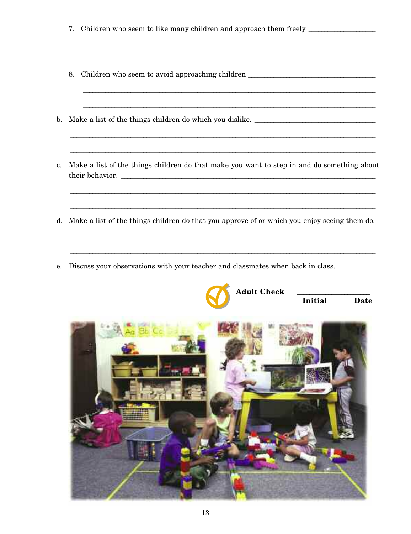|    | 7. | Children who seem to like many children and approach them freely ________________                                                                                                                                                      |
|----|----|----------------------------------------------------------------------------------------------------------------------------------------------------------------------------------------------------------------------------------------|
|    | 8. | Children who seem to avoid approaching children ________________________________                                                                                                                                                       |
| b. |    |                                                                                                                                                                                                                                        |
| c. |    | Make a list of the things children do that make you want to step in and do something about<br>their behavior.<br><u> 1989 - Johann Barbara, martin amerikan basal dan berasal dalam basal dalam basal dalam basal dalam basal dala</u> |
| d. |    | Make a list of the things children do that you approve of or which you enjoy seeing them do.                                                                                                                                           |
| е. |    | Discuss your observations with your teacher and classmates when back in class.<br><b>Adult Check</b><br><b>Initial</b><br><b>Date</b>                                                                                                  |
|    |    |                                                                                                                                                                                                                                        |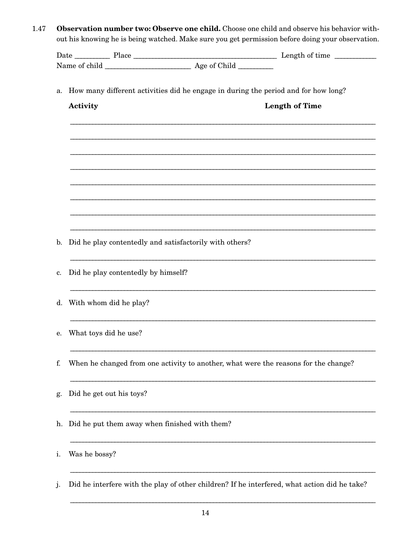Observation number two: Observe one child. Choose one child and observe his behavior with-1.47 out his knowing he is being watched. Make sure you get permission before doing your observation.

| Date          | <b>Place</b> | Length of time |  |
|---------------|--------------|----------------|--|
| Name of child | Age of Child |                |  |

a. How many different activities did he engage in during the period and for how long?

| Activity                 |                                                         | <b>Length of Time</b>                                                               |
|--------------------------|---------------------------------------------------------|-------------------------------------------------------------------------------------|
|                          |                                                         |                                                                                     |
|                          |                                                         |                                                                                     |
|                          |                                                         |                                                                                     |
|                          |                                                         |                                                                                     |
|                          |                                                         |                                                                                     |
|                          | Did he play contentedly and satisfactorily with others? |                                                                                     |
|                          | Did he play contentedly by himself?                     |                                                                                     |
| With whom did he play?   |                                                         |                                                                                     |
| What toys did he use?    |                                                         |                                                                                     |
|                          |                                                         | When he changed from one activity to another, what were the reasons for the change? |
| Did he get out his toys? |                                                         |                                                                                     |
|                          | Did he put them away when finished with them?           |                                                                                     |
| Was he bossy?            |                                                         |                                                                                     |

j. Did he interfere with the play of other children? If he interfered, what action did he take?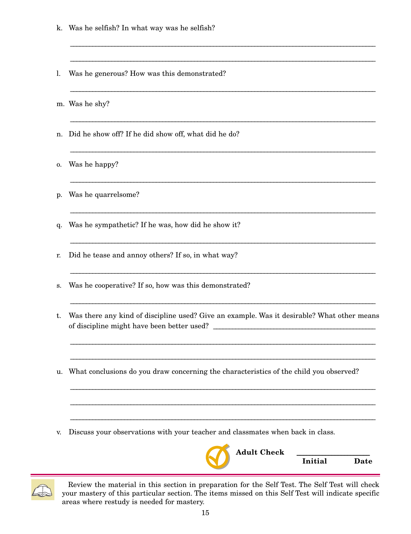- k. Was he selfish? In what way was he selfish?
- l. Was he generous? How was this demonstrated?
- m. Was he shy?
- n. Did he show off? If he did show off, what did he do?
- o. Was he happy?
- p. Was he quarrelsome?
- q. Was he sympathetic? If he was, how did he show it?
- r. Did he tease and annoy others? If so, in what way?
- s. Was he cooperative? If so, how was this demonstrated?
- t. Was there any kind of discipline used? Give an example. Was it desirable? What other means of discipline might have been better used?
- u. What conclusions do you draw concerning the characteristics of the child you observed?
- v. Discuss your observations with your teacher and classmates when back in class.





Review the material in this section in preparation for the Self Test. The Self Test will check your mastery of this particular section. The items missed on this Self Test will indicate specific areas where restudy is needed for mastery.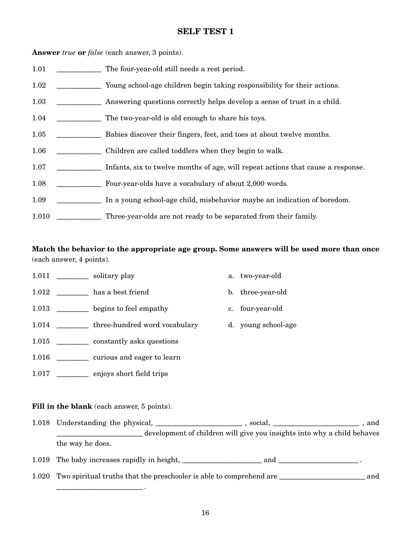#### **SELF TEST 1**

| 1.01  | The four-year-old still needs a rest period.                                     |
|-------|----------------------------------------------------------------------------------|
| 1.02  | Young school-age children begin taking responsibility for their actions.         |
| 1.03  | Answering questions correctly helps develop a sense of trust in a child.         |
| 1.04  | The two-year-old is old enough to share his toys.                                |
| 1.05  | Babies discover their fingers, feet, and toes at about twelve months.            |
| 1.06  | Children are called toddlers when they begin to walk.                            |
| 1.07  | Infants, six to twelve months of age, will repeat actions that cause a response. |
| 1.08  | Four-year-olds have a vocabulary of about 2,000 words.                           |
| 1.09  | In a young school-age child, misbehavior maybe an indication of boredom.         |
| 1.010 | Three-year-olds are not ready to be separated from their family.                 |

#### **Match the behavior to the appropriate age group. Some answers will be used more than once** (each answer, 4 points).

| 1.011 | solitary play |  | a. two-year-old |
|-------|---------------|--|-----------------|
|       |               |  |                 |

- 1.012 \_\_\_\_\_\_\_\_\_\_\_ has a best friend b. three-year-old
- 1.013 \_\_\_\_\_\_\_\_\_\_ begins to feel empathy c. four-year-old
- 1.014 \_\_\_\_\_\_\_\_\_\_ three-hundred word vocabulary d. young school-age
- 1.015 \_\_\_\_\_\_\_\_\_\_ constantly asks questions

**Answer** *true* **or** *false* (each answer, 3 points).

- 1.016 \_\_\_\_\_\_\_\_\_\_ curious and eager to learn
- 1.017 \_\_\_\_\_\_\_\_\_\_ enjoys short field trips

#### **Fill in the blank** (each answer, 5 points).

 $\mathcal{L}_\text{max}$  . The contract of the contract of the contract of the contract of the contract of the contract of the contract of the contract of the contract of the contract of the contract of the contract of the contract

- 1.018 Understanding the physical, \_\_\_\_\_\_\_\_\_\_\_\_\_\_\_\_\_\_\_\_\_\_\_\_\_\_\_ , social, \_\_\_\_\_\_\_\_\_\_\_\_\_\_\_\_\_\_\_\_\_\_\_\_\_\_\_ , and \_\_\_\_\_\_\_\_\_\_\_\_\_\_\_\_\_\_\_\_\_\_\_\_\_\_\_ development of children will give you insights into why a child behaves the way he does.
- 1.019 The baby increases rapidly in height, \_\_\_\_\_\_\_\_\_\_\_\_\_\_\_\_\_\_\_\_\_\_\_\_\_ and \_\_\_\_\_\_\_\_\_\_\_\_\_\_\_\_\_\_\_\_\_\_\_\_\_ .
- 1.020 Two spiritual truths that the preschooler is able to comprehend are \_\_\_\_\_\_\_\_\_\_\_\_\_\_\_\_\_\_\_\_\_\_\_\_\_\_\_ and